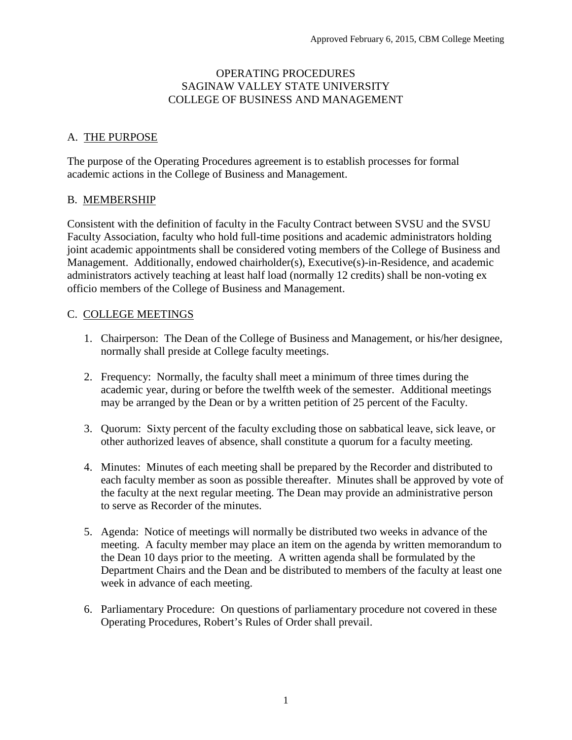#### OPERATING PROCEDURES SAGINAW VALLEY STATE UNIVERSITY COLLEGE OF BUSINESS AND MANAGEMENT

# A. THE PURPOSE

The purpose of the Operating Procedures agreement is to establish processes for formal academic actions in the College of Business and Management.

### B. MEMBERSHIP

Consistent with the definition of faculty in the Faculty Contract between SVSU and the SVSU Faculty Association, faculty who hold full-time positions and academic administrators holding joint academic appointments shall be considered voting members of the College of Business and Management. Additionally, endowed chairholder(s), Executive(s)-in-Residence, and academic administrators actively teaching at least half load (normally 12 credits) shall be non-voting ex officio members of the College of Business and Management.

# C. COLLEGE MEETINGS

- 1. Chairperson: The Dean of the College of Business and Management, or his/her designee, normally shall preside at College faculty meetings.
- 2. Frequency: Normally, the faculty shall meet a minimum of three times during the academic year, during or before the twelfth week of the semester. Additional meetings may be arranged by the Dean or by a written petition of 25 percent of the Faculty.
- 3. Quorum: Sixty percent of the faculty excluding those on sabbatical leave, sick leave, or other authorized leaves of absence, shall constitute a quorum for a faculty meeting.
- 4. Minutes: Minutes of each meeting shall be prepared by the Recorder and distributed to each faculty member as soon as possible thereafter. Minutes shall be approved by vote of the faculty at the next regular meeting. The Dean may provide an administrative person to serve as Recorder of the minutes.
- 5. Agenda: Notice of meetings will normally be distributed two weeks in advance of the meeting. A faculty member may place an item on the agenda by written memorandum to the Dean 10 days prior to the meeting. A written agenda shall be formulated by the Department Chairs and the Dean and be distributed to members of the faculty at least one week in advance of each meeting.
- 6. Parliamentary Procedure: On questions of parliamentary procedure not covered in these Operating Procedures, Robert's Rules of Order shall prevail.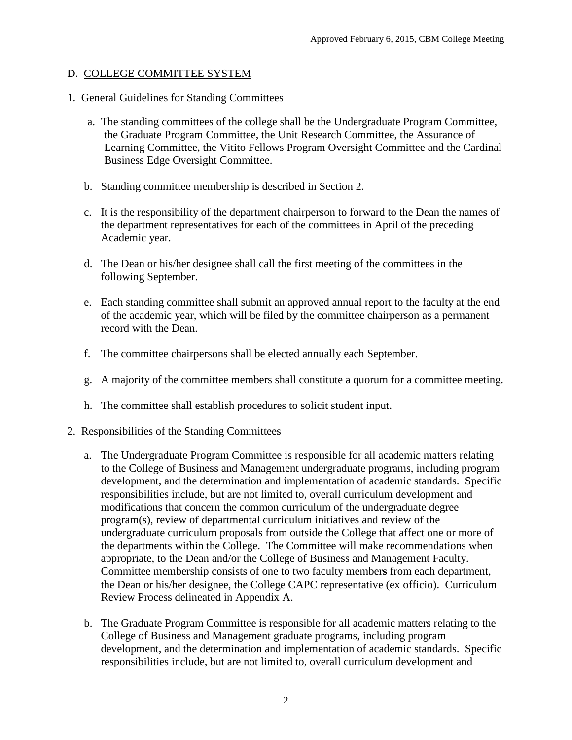### D. COLLEGE COMMITTEE SYSTEM

- 1. General Guidelines for Standing Committees
	- a. The standing committees of the college shall be the Undergraduate Program Committee, the Graduate Program Committee, the Unit Research Committee, the Assurance of Learning Committee, the Vitito Fellows Program Oversight Committee and the Cardinal Business Edge Oversight Committee.
	- b. Standing committee membership is described in Section 2.
	- c. It is the responsibility of the department chairperson to forward to the Dean the names of the department representatives for each of the committees in April of the preceding Academic year.
	- d. The Dean or his/her designee shall call the first meeting of the committees in the following September.
	- e. Each standing committee shall submit an approved annual report to the faculty at the end of the academic year, which will be filed by the committee chairperson as a permanent record with the Dean.
	- f. The committee chairpersons shall be elected annually each September.
	- g. A majority of the committee members shall constitute a quorum for a committee meeting.
	- h. The committee shall establish procedures to solicit student input.
- 2. Responsibilities of the Standing Committees
	- a. The Undergraduate Program Committee is responsible for all academic matters relating to the College of Business and Management undergraduate programs, including program development, and the determination and implementation of academic standards. Specific responsibilities include, but are not limited to, overall curriculum development and modifications that concern the common curriculum of the undergraduate degree program(s), review of departmental curriculum initiatives and review of the undergraduate curriculum proposals from outside the College that affect one or more of the departments within the College. The Committee will make recommendations when appropriate, to the Dean and/or the College of Business and Management Faculty. Committee membership consists of one to two faculty member**s** from each department, the Dean or his/her designee, the College CAPC representative (ex officio). Curriculum Review Process delineated in Appendix A.
	- b. The Graduate Program Committee is responsible for all academic matters relating to the College of Business and Management graduate programs, including program development, and the determination and implementation of academic standards. Specific responsibilities include, but are not limited to, overall curriculum development and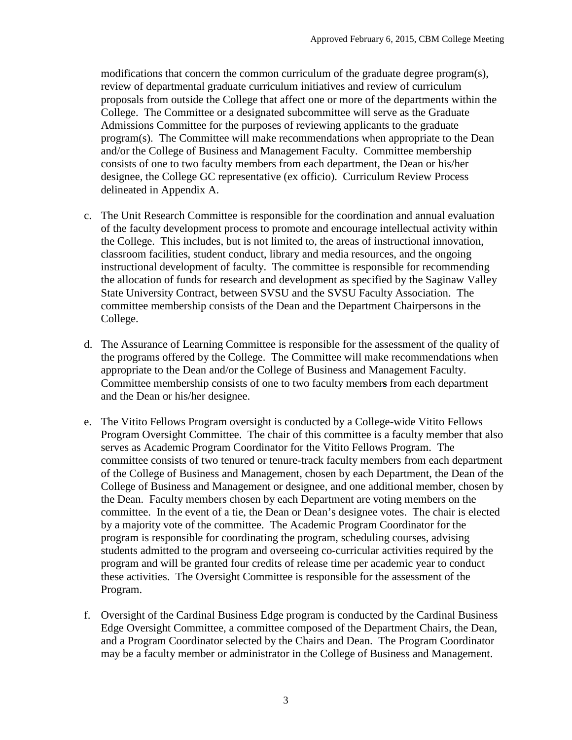modifications that concern the common curriculum of the graduate degree program(s), review of departmental graduate curriculum initiatives and review of curriculum proposals from outside the College that affect one or more of the departments within the College. The Committee or a designated subcommittee will serve as the Graduate Admissions Committee for the purposes of reviewing applicants to the graduate program(s). The Committee will make recommendations when appropriate to the Dean and/or the College of Business and Management Faculty. Committee membership consists of one to two faculty members from each department, the Dean or his/her designee, the College GC representative (ex officio). Curriculum Review Process delineated in Appendix A.

- c. The Unit Research Committee is responsible for the coordination and annual evaluation of the faculty development process to promote and encourage intellectual activity within the College. This includes, but is not limited to, the areas of instructional innovation, classroom facilities, student conduct, library and media resources, and the ongoing instructional development of faculty. The committee is responsible for recommending the allocation of funds for research and development as specified by the Saginaw Valley State University Contract, between SVSU and the SVSU Faculty Association. The committee membership consists of the Dean and the Department Chairpersons in the College.
- d. The Assurance of Learning Committee is responsible for the assessment of the quality of the programs offered by the College. The Committee will make recommendations when appropriate to the Dean and/or the College of Business and Management Faculty. Committee membership consists of one to two faculty member**s** from each department and the Dean or his/her designee.
- e. The Vitito Fellows Program oversight is conducted by a College-wide Vitito Fellows Program Oversight Committee. The chair of this committee is a faculty member that also serves as Academic Program Coordinator for the Vitito Fellows Program. The committee consists of two tenured or tenure-track faculty members from each department of the College of Business and Management, chosen by each Department, the Dean of the College of Business and Management or designee, and one additional member, chosen by the Dean. Faculty members chosen by each Department are voting members on the committee. In the event of a tie, the Dean or Dean's designee votes. The chair is elected by a majority vote of the committee. The Academic Program Coordinator for the program is responsible for coordinating the program, scheduling courses, advising students admitted to the program and overseeing co-curricular activities required by the program and will be granted four credits of release time per academic year to conduct these activities. The Oversight Committee is responsible for the assessment of the Program.
- f. Oversight of the Cardinal Business Edge program is conducted by the Cardinal Business Edge Oversight Committee, a committee composed of the Department Chairs, the Dean, and a Program Coordinator selected by the Chairs and Dean. The Program Coordinator may be a faculty member or administrator in the College of Business and Management.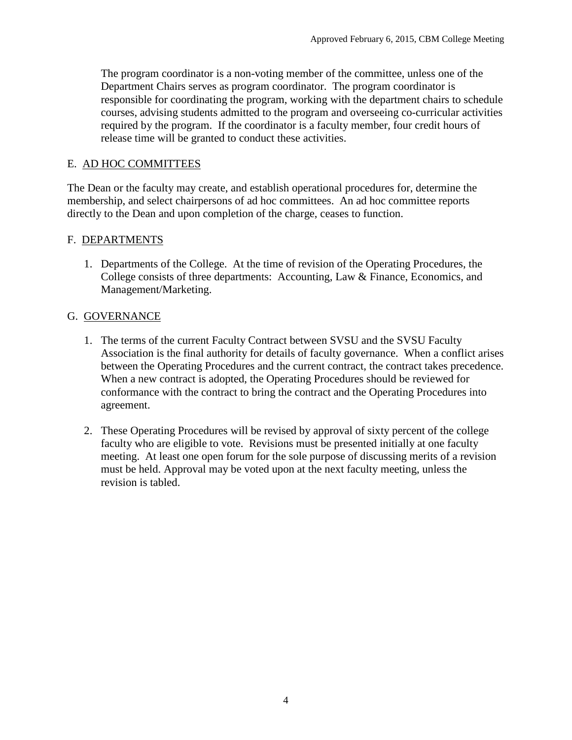The program coordinator is a non-voting member of the committee, unless one of the Department Chairs serves as program coordinator. The program coordinator is responsible for coordinating the program, working with the department chairs to schedule courses, advising students admitted to the program and overseeing co-curricular activities required by the program. If the coordinator is a faculty member, four credit hours of release time will be granted to conduct these activities.

# E. AD HOC COMMITTEES

The Dean or the faculty may create, and establish operational procedures for, determine the membership, and select chairpersons of ad hoc committees. An ad hoc committee reports directly to the Dean and upon completion of the charge, ceases to function.

# F. DEPARTMENTS

1. Departments of the College. At the time of revision of the Operating Procedures, the College consists of three departments: Accounting, Law & Finance, Economics, and Management/Marketing.

# G. GOVERNANCE

- 1. The terms of the current Faculty Contract between SVSU and the SVSU Faculty Association is the final authority for details of faculty governance. When a conflict arises between the Operating Procedures and the current contract, the contract takes precedence. When a new contract is adopted, the Operating Procedures should be reviewed for conformance with the contract to bring the contract and the Operating Procedures into agreement.
- 2. These Operating Procedures will be revised by approval of sixty percent of the college faculty who are eligible to vote. Revisions must be presented initially at one faculty meeting. At least one open forum for the sole purpose of discussing merits of a revision must be held. Approval may be voted upon at the next faculty meeting, unless the revision is tabled.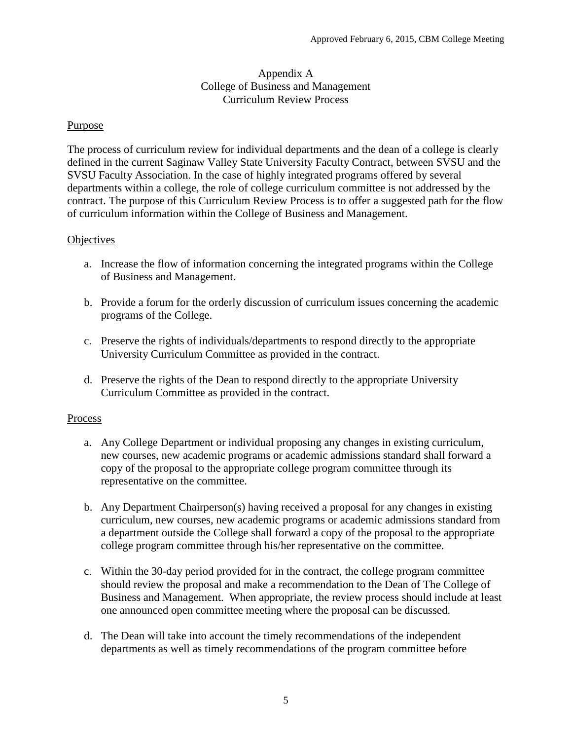#### Appendix A College of Business and Management Curriculum Review Process

### Purpose

The process of curriculum review for individual departments and the dean of a college is clearly defined in the current Saginaw Valley State University Faculty Contract, between SVSU and the SVSU Faculty Association. In the case of highly integrated programs offered by several departments within a college, the role of college curriculum committee is not addressed by the contract. The purpose of this Curriculum Review Process is to offer a suggested path for the flow of curriculum information within the College of Business and Management.

#### **Objectives**

- a. Increase the flow of information concerning the integrated programs within the College of Business and Management.
- b. Provide a forum for the orderly discussion of curriculum issues concerning the academic programs of the College.
- c. Preserve the rights of individuals/departments to respond directly to the appropriate University Curriculum Committee as provided in the contract.
- d. Preserve the rights of the Dean to respond directly to the appropriate University Curriculum Committee as provided in the contract.

#### Process

- a. Any College Department or individual proposing any changes in existing curriculum, new courses, new academic programs or academic admissions standard shall forward a copy of the proposal to the appropriate college program committee through its representative on the committee.
- b. Any Department Chairperson(s) having received a proposal for any changes in existing curriculum, new courses, new academic programs or academic admissions standard from a department outside the College shall forward a copy of the proposal to the appropriate college program committee through his/her representative on the committee.
- c. Within the 30-day period provided for in the contract, the college program committee should review the proposal and make a recommendation to the Dean of The College of Business and Management. When appropriate, the review process should include at least one announced open committee meeting where the proposal can be discussed.
- d. The Dean will take into account the timely recommendations of the independent departments as well as timely recommendations of the program committee before